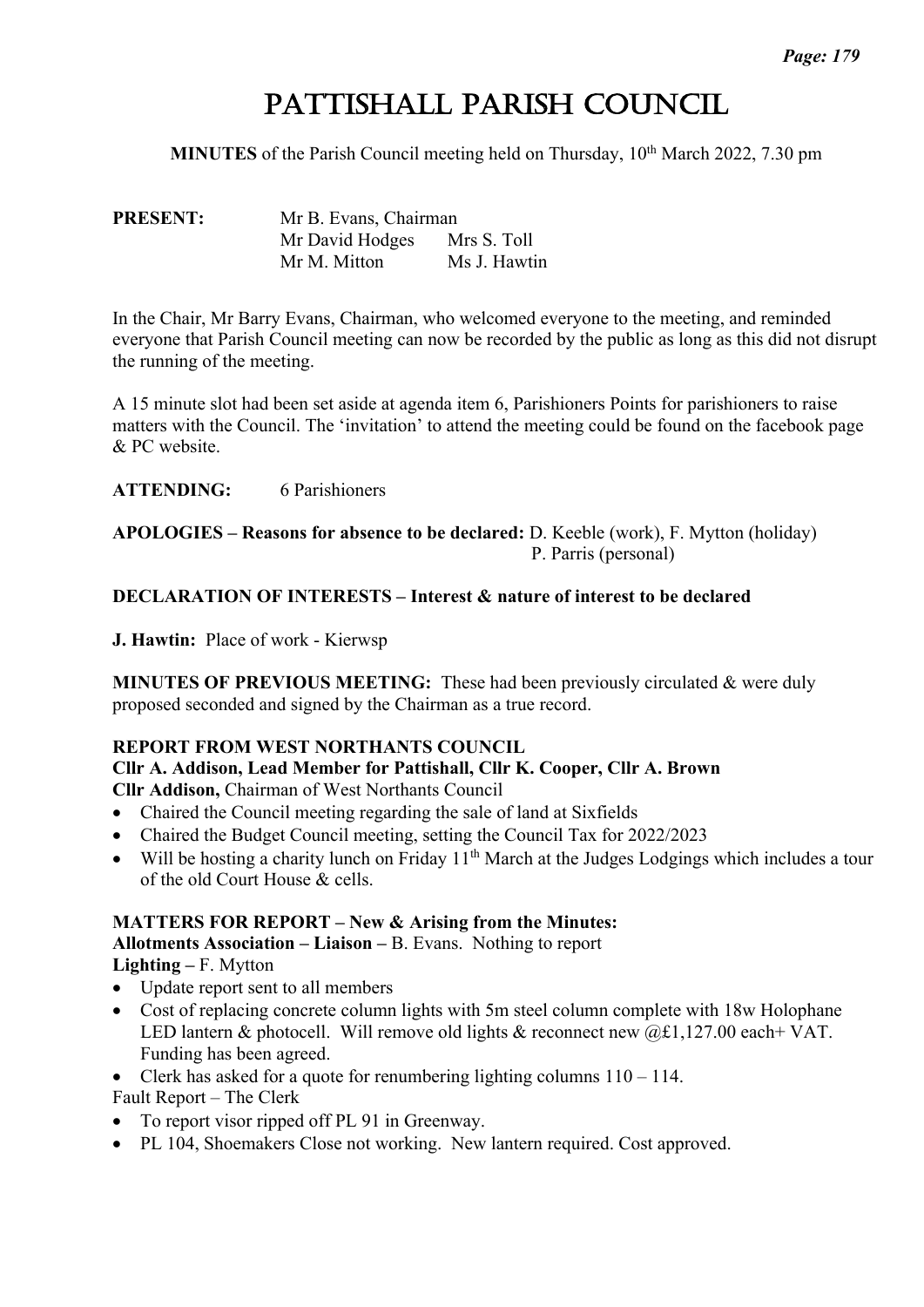# PATTISHALL PARISH COUNCIL

**MINUTES** of the Parish Council meeting held on Thursday, 10<sup>th</sup> March 2022, 7.30 pm

**PRESENT:** Mr B. Evans, Chairman Mr David Hodges Mrs S. Toll Mr M. Mitton Ms J. Hawtin

In the Chair, Mr Barry Evans, Chairman, who welcomed everyone to the meeting, and reminded everyone that Parish Council meeting can now be recorded by the public as long as this did not disrupt the running of the meeting.

A 15 minute slot had been set aside at agenda item 6, Parishioners Points for parishioners to raise matters with the Council. The 'invitation' to attend the meeting could be found on the facebook page & PC website.

**ATTENDING:** 6 Parishioners

**APOLOGIES – Reasons for absence to be declared:** D. Keeble (work), F. Mytton (holiday) P. Parris (personal)

#### **DECLARATION OF INTERESTS – Interest & nature of interest to be declared**

**J. Hawtin:** Place of work - Kierwsp

**MINUTES OF PREVIOUS MEETING:** These had been previously circulated & were duly proposed seconded and signed by the Chairman as a true record.

#### **REPORT FROM WEST NORTHANTS COUNCIL**

**Cllr A. Addison, Lead Member for Pattishall, Cllr K. Cooper, Cllr A. Brown**

**Cllr Addison,** Chairman of West Northants Council

- Chaired the Council meeting regarding the sale of land at Sixfields
- Chaired the Budget Council meeting, setting the Council Tax for 2022/2023
- Will be hosting a charity lunch on Friday  $11<sup>th</sup>$  March at the Judges Lodgings which includes a tour of the old Court House & cells.

#### **MATTERS FOR REPORT – New & Arising from the Minutes:**

**Allotments Association – Liaison –** B. Evans. Nothing to report

**Lighting –** F. Mytton

- Update report sent to all members
- Cost of replacing concrete column lights with 5m steel column complete with 18w Holophane LED lantern & photocell. Will remove old lights & reconnect new  $(a, \text{\textsterling}1, 127.00 \text{ each} + \text{VAT})$ . Funding has been agreed.
- Clerk has asked for a quote for renumbering lighting columns  $110 114$ .

Fault Report – The Clerk

- To report visor ripped off PL 91 in Greenway.
- PL 104, Shoemakers Close not working. New lantern required. Cost approved.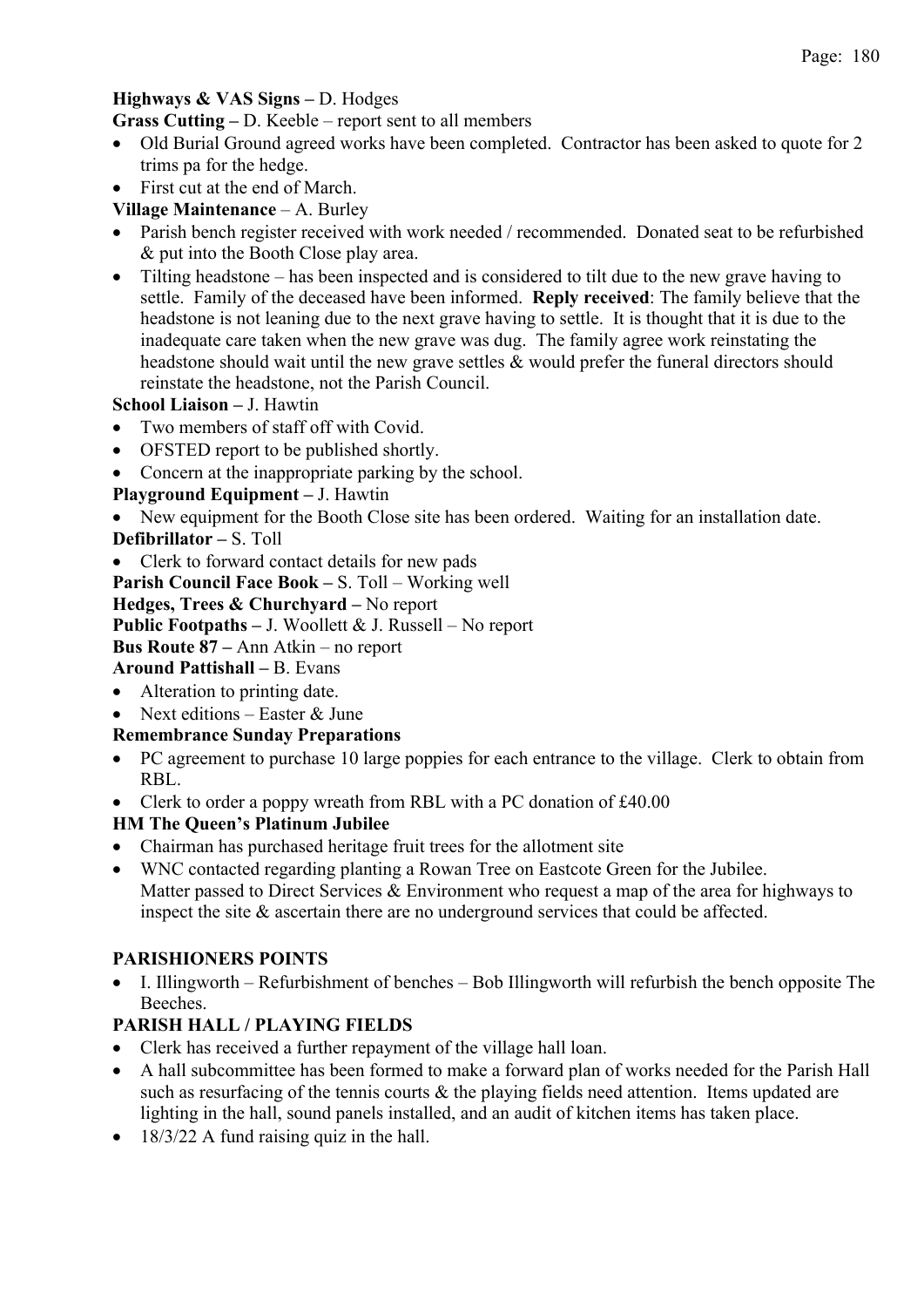#### **Highways & VAS Signs –** D. Hodges

**Grass Cutting –** D. Keeble – report sent to all members

- Old Burial Ground agreed works have been completed. Contractor has been asked to quote for 2 trims pa for the hedge.
- First cut at the end of March.

## **Village Maintenance** – A. Burley

- Parish bench register received with work needed / recommended. Donated seat to be refurbished & put into the Booth Close play area.
- Tilting headstone has been inspected and is considered to tilt due to the new grave having to settle. Family of the deceased have been informed. **Reply received**: The family believe that the headstone is not leaning due to the next grave having to settle. It is thought that it is due to the inadequate care taken when the new grave was dug. The family agree work reinstating the headstone should wait until the new grave settles & would prefer the funeral directors should reinstate the headstone, not the Parish Council.

#### **School Liaison –** J. Hawtin

- Two members of staff off with Covid.
- OFSTED report to be published shortly.
- Concern at the inappropriate parking by the school.

## **Playground Equipment –** J. Hawtin

- New equipment for the Booth Close site has been ordered. Waiting for an installation date. **Defibrillator –** S. Toll
- Clerk to forward contact details for new pads

**Parish Council Face Book –** S. Toll – Working well

#### **Hedges, Trees & Churchyard –** No report

**Public Footpaths –** J. Woollett & J. Russell – No report

#### **Bus Route 87 –** Ann Atkin – no report

## **Around Pattishall –** B. Evans

- Alteration to printing date.
- Next editions Easter & June

## **Remembrance Sunday Preparations**

- PC agreement to purchase 10 large poppies for each entrance to the village. Clerk to obtain from RBL.
- Clerk to order a poppy wreath from RBL with a PC donation of £40.00

## **HM The Queen's Platinum Jubilee**

- Chairman has purchased heritage fruit trees for the allotment site
- WNC contacted regarding planting a Rowan Tree on Eastcote Green for the Jubilee. Matter passed to Direct Services & Environment who request a map of the area for highways to inspect the site & ascertain there are no underground services that could be affected.

## **PARISHIONERS POINTS**

• I. Illingworth – Refurbishment of benches – Bob Illingworth will refurbish the bench opposite The Beeches.

# **PARISH HALL / PLAYING FIELDS**

- Clerk has received a further repayment of the village hall loan.
- A hall subcommittee has been formed to make a forward plan of works needed for the Parish Hall such as resurfacing of the tennis courts  $\&$  the playing fields need attention. Items updated are lighting in the hall, sound panels installed, and an audit of kitchen items has taken place.
- 18/3/22 A fund raising quiz in the hall.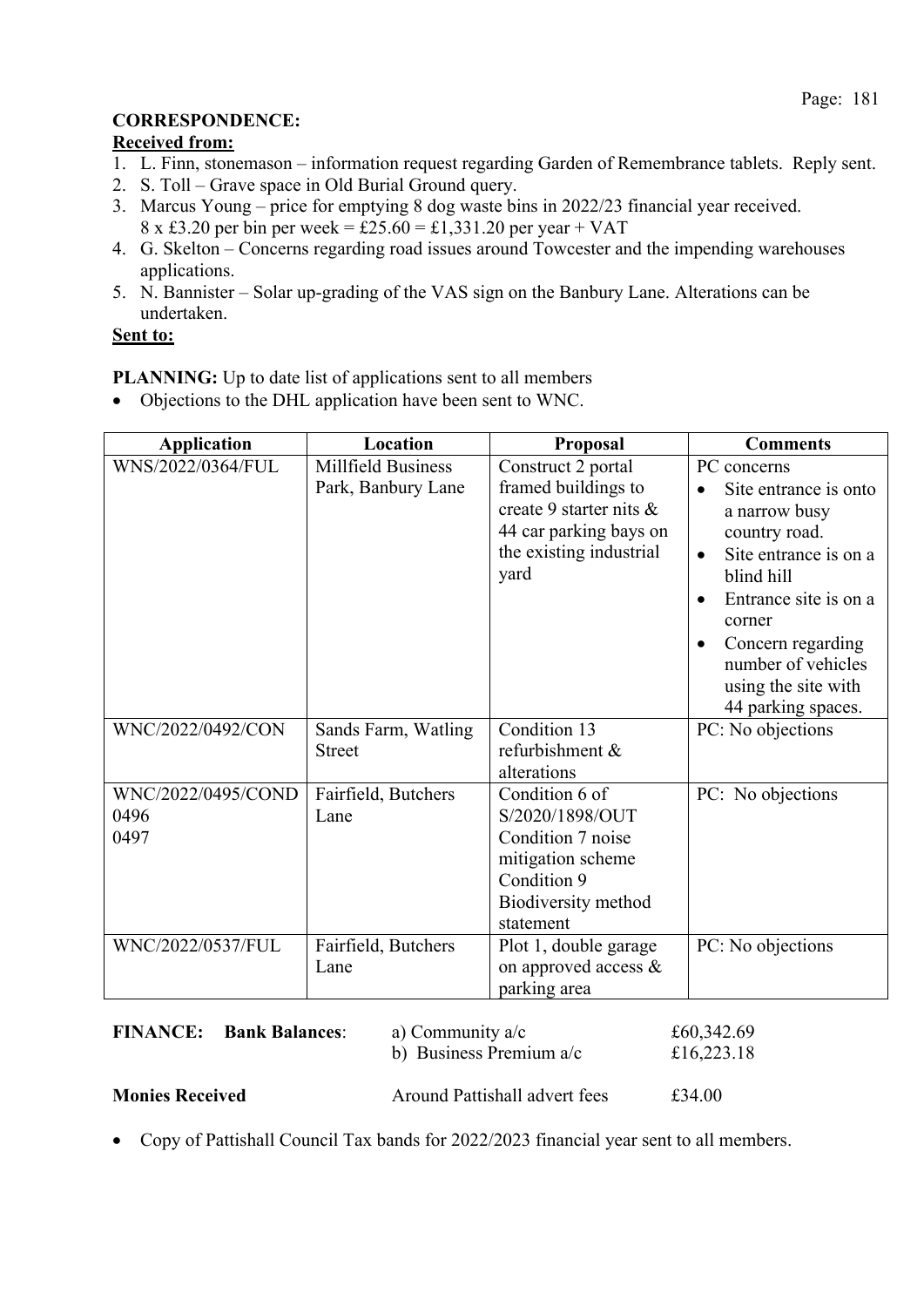# **CORRESPONDENCE:**

## **Received from:**

- 1. L. Finn, stonemason information request regarding Garden of Remembrance tablets. Reply sent.
- 2. S. Toll Grave space in Old Burial Ground query.
- 3. Marcus Young price for emptying 8 dog waste bins in 2022/23 financial year received.
- $8 \times £3.20$  per bin per week = £25.60 = £1,331.20 per year + VAT 4. G. Skelton – Concerns regarding road issues around Towcester and the impending warehouses applications.
- 5. N. Bannister Solar up-grading of the VAS sign on the Banbury Lane. Alterations can be undertaken.

## **Sent to:**

**PLANNING:** Up to date list of applications sent to all members

• Objections to the DHL application have been sent to WNC.

| <b>Application</b>                 | Location                                        | <b>Proposal</b>                                                                                                                   | <b>Comments</b>                                                                                                                                                                                                                                                                              |
|------------------------------------|-------------------------------------------------|-----------------------------------------------------------------------------------------------------------------------------------|----------------------------------------------------------------------------------------------------------------------------------------------------------------------------------------------------------------------------------------------------------------------------------------------|
| WNS/2022/0364/FUL                  | <b>Millfield Business</b><br>Park, Banbury Lane | Construct 2 portal<br>framed buildings to<br>create 9 starter nits &<br>44 car parking bays on<br>the existing industrial<br>yard | PC concerns<br>Site entrance is onto<br>$\bullet$<br>a narrow busy<br>country road.<br>Site entrance is on a<br>$\bullet$<br>blind hill<br>Entrance site is on a<br>$\bullet$<br>corner<br>Concern regarding<br>$\bullet$<br>number of vehicles<br>using the site with<br>44 parking spaces. |
| WNC/2022/0492/CON                  | Sands Farm, Watling<br><b>Street</b>            | Condition 13<br>refurbishment &<br>alterations                                                                                    | PC: No objections                                                                                                                                                                                                                                                                            |
| WNC/2022/0495/COND<br>0496<br>0497 | Fairfield, Butchers<br>Lane                     | Condition 6 of<br>S/2020/1898/OUT<br>Condition 7 noise<br>mitigation scheme<br>Condition 9<br>Biodiversity method<br>statement    | PC: No objections                                                                                                                                                                                                                                                                            |
| WNC/2022/0537/FUL                  | Fairfield, Butchers<br>Lane                     | Plot 1, double garage<br>on approved access &<br>parking area                                                                     | PC: No objections                                                                                                                                                                                                                                                                            |

| <b>FINANCE:</b>        | <b>Bank Balances:</b> | a) Community $a/c$<br>b) Business Premium $a/c$ | £60,342.69<br>£16,223.18 |
|------------------------|-----------------------|-------------------------------------------------|--------------------------|
| <b>Monies Received</b> |                       | Around Pattishall advert fees                   | £34.00                   |

• Copy of Pattishall Council Tax bands for 2022/2023 financial year sent to all members.